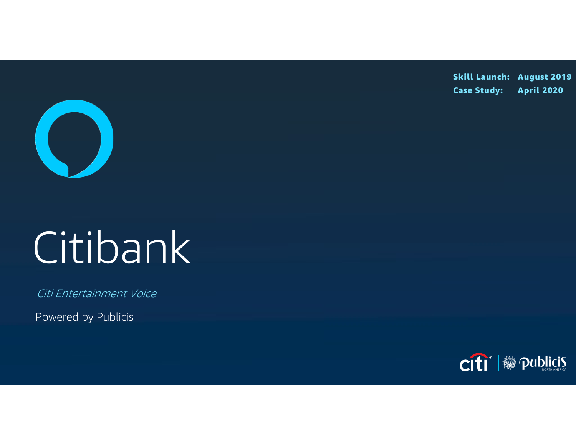Skill Launch: August 2019 Case Study: April 2020



# Citibank

Citi Entertainment Voice

Powered by Publicis

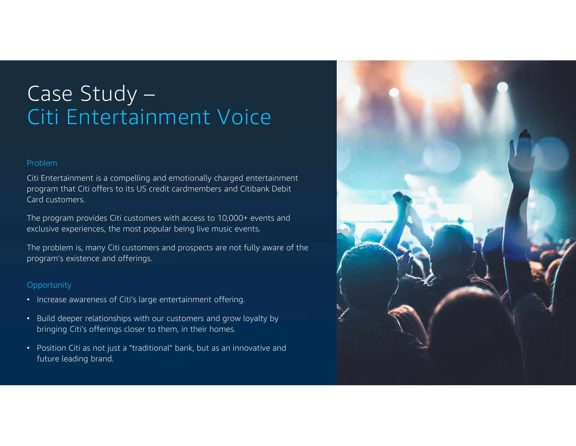# Case Study – Citi Entertainment Voice

### Problem

Citi Entertainment is a compelling and emotionally charged entertainment program that Citi offers to its US credit cardmembers and Citibank Debit Card customers.

The program provides Citi customers with access to 10,000+ events and exclusive experiences, the most popular being live music events.

The problem is, many Citi customers and prospects are not fully aware of the program's existence and offerings.

### **Opportunity**

- Increase awareness of Citi's large entertainment offering.
- Build deeper relationships with our customers and grow loyalty by bringing Citi's offerings closer to them, in their homes.
- Position Citi as not just a "traditional" bank, but as an innovative and future leading brand.

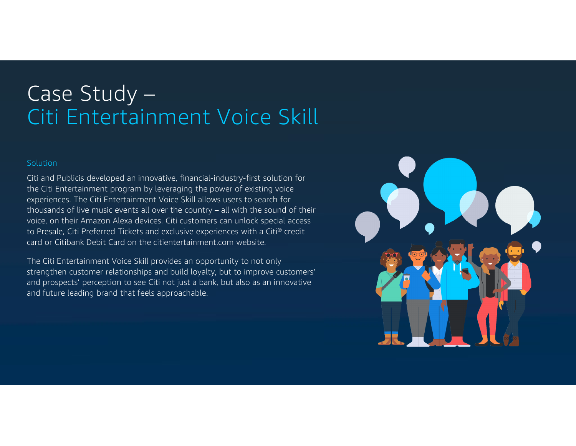## Case Study – Citi Entertainment Voice Skill

### **Solution**

Citi and Publicis developed an innovative, financial-industry-first solution for the Citi Entertainment program by leveraging the power of existing voice experiences. The Citi Entertainment Voice Skill allows users to search for Solution<br>Citi and Publicis developed an innovative, financial-industry-first solution for<br>the Citi Entertainment program by leveraging the power of existing voice<br>experiences. The Citi Entertainment Voice Skill allows use voice, on their Amazon Alexa devices. Citi customers can unlock special access to Presale, Citi Preferred Tickets and exclusive experiences with a Citi® credit card or Citibank Debit Card on the citientertainment.com website.

The Citi Entertainment Voice Skill provides an opportunity to not only strengthen customer relationships and build loyalty, but to improve customers' and prospects' perception to see Citi not just a bank, but also as an innovative and future leading brand that feels approachable.

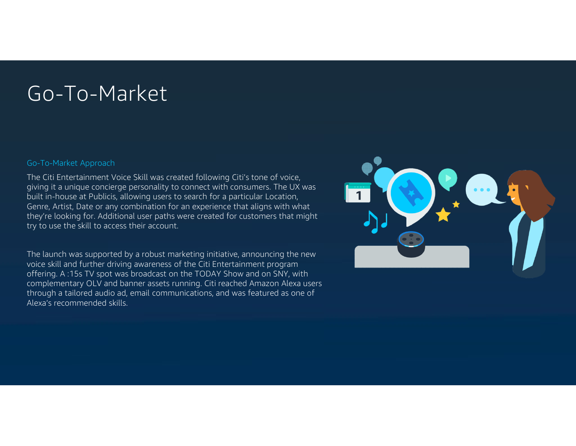### Go-To-Market

### Go-To-Market Approach

The Citi Entertainment Voice Skill was created following Citi's tone of voice, giving it a unique concierge personality to connect with consumers. The UX was built in-house at Publicis, allowing users to search for a particular Location, Genre, Artist, Date or any combination for an experience that aligns with what they're looking for. Additional user paths were created for customers that might try to use the skill to access their account.

The launch was supported by a robust marketing initiative, announcing the new voice skill and further driving awareness of the Citi Entertainment program offering. A :15s TV spot was broadcast on the TODAY Show and on SNY, with complementary OLV and banner assets running. Citi reached Amazon Alexa users through a tailored audio ad, email communications, and was featured as one of Alexa's recommended skills.

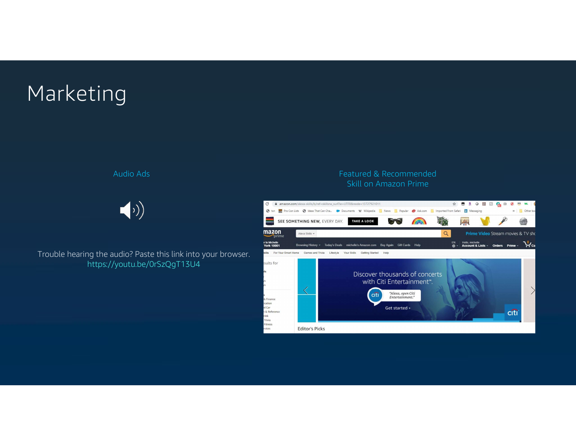# Marketing



Trouble hearing the audio? Paste this link into your browser. This reviews mant Home Games and Trivia Lifestyle Your Skills Getting Stated Help https://youtu.be/0rSzQgT13U4

### Audio Ads Featured & Recommended Skill on Amazon Prime

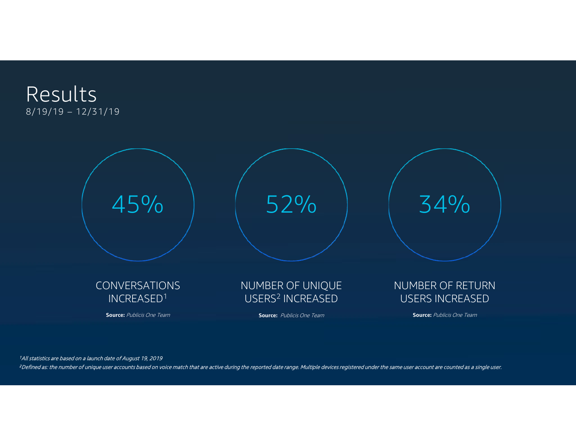



1All statistics are based on a launch date of August 19, 2019

<sup>2</sup>Defined as: the number of unique user accounts based on voice match that are active during the reported date range. Multiple devices registered under the same user account are counted as a single user.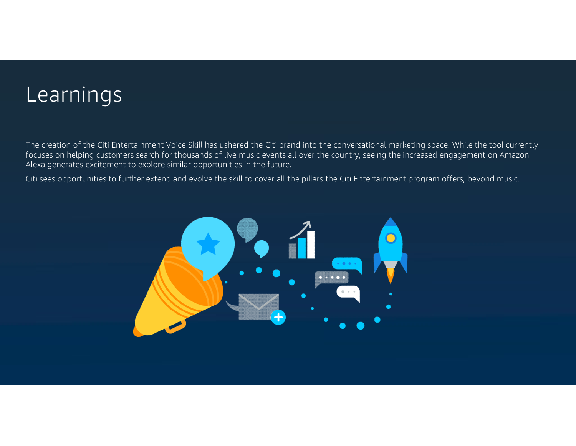### Learnings

Learnings<br>The creation of the Citi Entertainment Voice Skill has ushered the Citi brand into the conversational marketing space. While the tool currently<br>focuses on helping customers search for thousands of live music even focuses on helping customers search for thousands of live music events all over the country, seeing the increased engagement on Amazon Alexa generates excitement to explore similar opportunities in the future.

Citi sees opportunities to further extend and evolve the skill to cover all the pillars the Citi Entertainment program offers, beyond music.